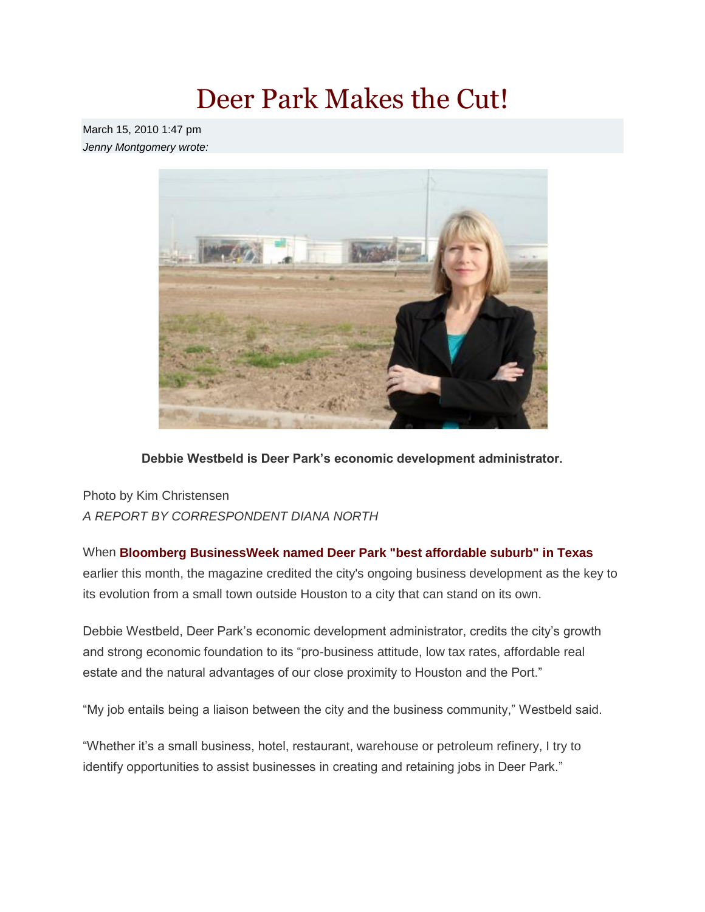## Deer Park Makes the Cut!

March 15, 2010 1:47 pm *Jenny Montgomery wrote:*



**Debbie Westbeld is Deer Park's economic development administrator.**

Photo by Kim Christensen *A REPORT BY CORRESPONDENT DIANA NORTH*

When **[Bloomberg BusinessWeek named Deer Park "best affordable suburb" in Texas](http://www.ultimatepasadena.com/2010/03/magazine-names-deer-park-best-affordable-suburb-texas)** earlier this month, the magazine credited the city's ongoing business development as the key to its evolution from a small town outside Houston to a city that can stand on its own.

Debbie Westbeld, Deer Park's economic development administrator, credits the city's growth and strong economic foundation to its "pro-business attitude, low tax rates, affordable real estate and the natural advantages of our close proximity to Houston and the Port."

"My job entails being a liaison between the city and the business community," Westbeld said.

"Whether it's a small business, hotel, restaurant, warehouse or petroleum refinery, I try to identify opportunities to assist businesses in creating and retaining jobs in Deer Park."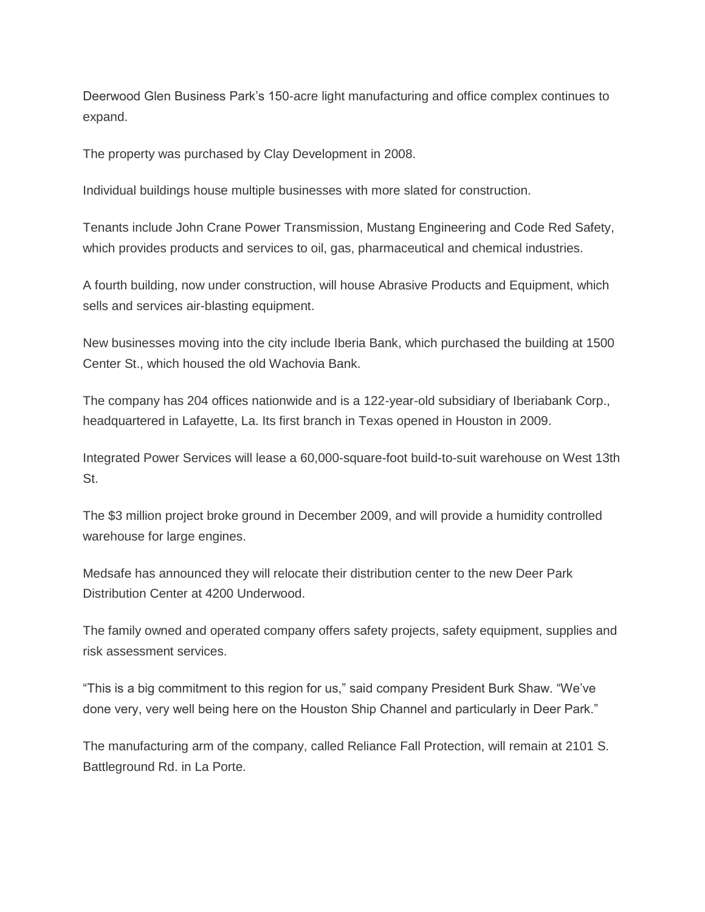Deerwood Glen Business Park's 150-acre light manufacturing and office complex continues to expand.

The property was purchased by Clay Development in 2008.

Individual buildings house multiple businesses with more slated for construction.

Tenants include John Crane Power Transmission, Mustang Engineering and Code Red Safety, which provides products and services to oil, gas, pharmaceutical and chemical industries.

A fourth building, now under construction, will house Abrasive Products and Equipment, which sells and services air-blasting equipment.

New businesses moving into the city include Iberia Bank, which purchased the building at 1500 Center St., which housed the old Wachovia Bank.

The company has 204 offices nationwide and is a 122-year-old subsidiary of Iberiabank Corp., headquartered in Lafayette, La. Its first branch in Texas opened in Houston in 2009.

Integrated Power Services will lease a 60,000-square-foot build-to-suit warehouse on West 13th St.

The \$3 million project broke ground in December 2009, and will provide a humidity controlled warehouse for large engines.

Medsafe has announced they will relocate their distribution center to the new Deer Park Distribution Center at 4200 Underwood.

The family owned and operated company offers safety projects, safety equipment, supplies and risk assessment services.

"This is a big commitment to this region for us," said company President Burk Shaw. "We've done very, very well being here on the Houston Ship Channel and particularly in Deer Park."

The manufacturing arm of the company, called Reliance Fall Protection, will remain at 2101 S. Battleground Rd. in La Porte.